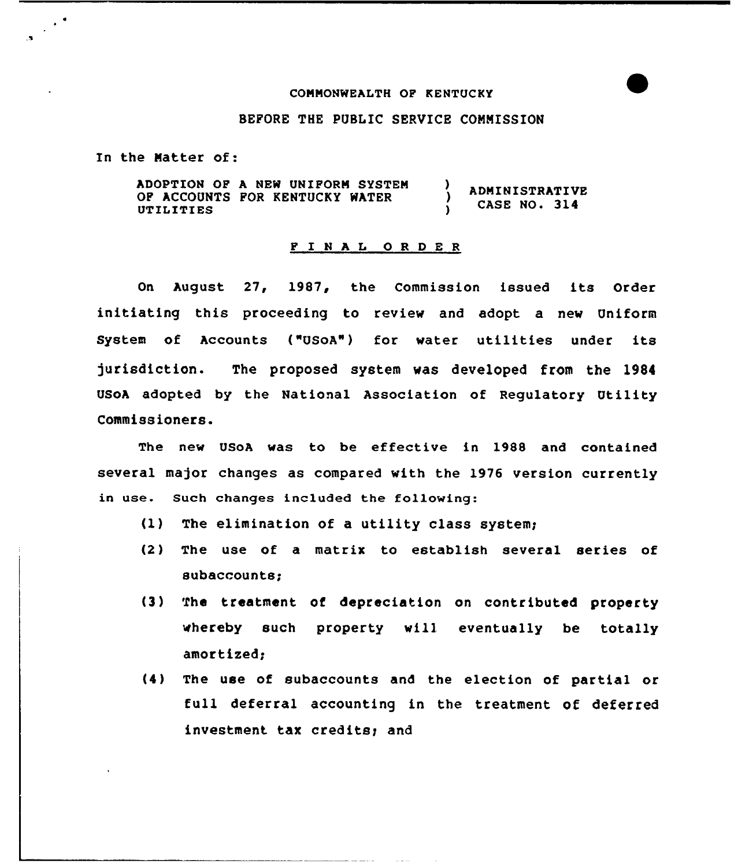## CONNONWEALTH OP KENTUCKY

## BEPORE THE PUBLIC SERUICE CONNISSION

In the Natter of:

 $\mathbb{R}^4$ 

ADOPTION OP A NEW UNIFORN SYSTEN  $\lambda$ ADMINISTRATIVE OF ACCOUNTS POR KENTUCKY WATER  $\lambda$ CASE NO. 314 UTILITIES  $\mathbf{r}$ 

## <sup>P</sup> I <sup>N</sup> <sup>A</sup> <sup>L</sup> 0 <sup>R</sup> <sup>D</sup> <sup>E</sup> <sup>R</sup>

On August 27, 1987, the Commission issued its Order initiating this proceeding to review and adopt a new Uniform System of Accounts ("USoA") for water utilities under its )urisdiction. The proposed system was developed from the 1984 USoA adopted by the National Association of Regulatory Utility Commissioners.

The new USoA was to be effective in 1988 and contained several major changes as compared with the 1976 version currently in use. Such changes included the following:

- $(1)$  The elimination of a utility class system;
- (2) The use of a matrix to establish several series of subaccounts;
- (3) The treatment of depreciation on contributed property whereby such property will. eventually be totally amortized;
- (4) The use of subaccounts and the election of partial or full deferral accounting in the treatment of deferred investment tax credits; and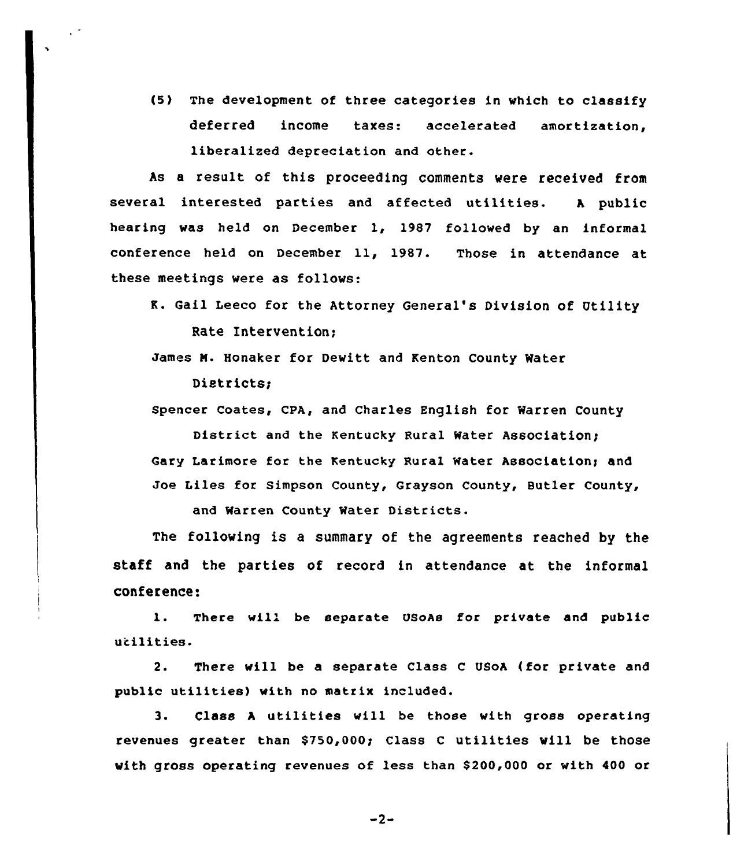{5) The development of three categories in which to classify deferred income taxes: accelerated amortization, liberalized depreciation and other.

 $\sim$   $^{\circ}$ 

As a result of this proceeding comments were received from several interested parties and affected utilities. <sup>A</sup> public hearing was held on December 1, 1987 followed by an informal conference held on December 11, 1987. Those in attendance at these meetings were as follows:

K. Gail Leeco for the Attorney General's Division of Utility Rate Intervention;

James N. Honaker for Dewitt and Kenton County Water Districts;

Spencer Coates, CPA, and Charles English for Warren County

District and the Kentucky Rural Water Association; Gary Larimore for the Kentucky Rural Water Association; and Joe Liles for Simpson County, Grayson County, Butler County,

and Warren County Water Districts.

The following is a summary of the agreements reached by the staff and the parties of record in attendance at the informal conference:

1. There will be separate USOAs for private and public utilities.

2. There will be a separate Class <sup>C</sup> USoh (for private and public utilities) with no matrix included.

3. Class <sup>A</sup> utilities will be those with gross operating revenues greater than \$750,000g Class <sup>C</sup> utilities will be those with gross operating revenues of less than \$200,000 or with 400 or

 $-2-$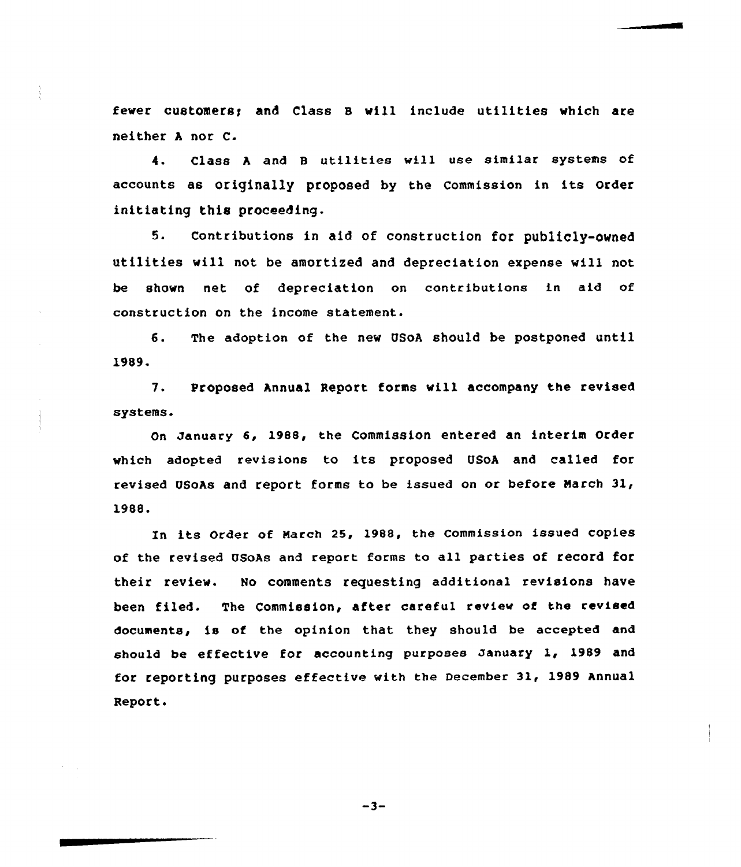fewer customers; and Class B will include utilities which are neither <sup>A</sup> nor C-

4. Class <sup>h</sup> and 8 utilities will use similar systems of accounts as originally proposed by the Commission in its Order initiating this proceeding.

5. Contributions in aid of construction for publicly-owned utilities vill not be amortized and depreciation expense will not be shown net of depreciation on contributions in aid of construction on the income statement.

6. The adoption of the new USoh should be postponed until 1989.

7. Proposed Annual Report forms will accompany the revised systems.

On January 6, 1988, the Commission entered an interim Order which adopted revisions to its proposed USoA and called for revised USoAs and report forms to be issued on or before March 31, 1988.

In its Order of Narch 25, 1988, the Commission issued copies of the revised USOAs and report forms to all parties of record for their review. No comments requesting additional revisions have been filed. The Commission, after careful review of the revised documents, is of the opinion that they should be accepted and should be effective for accounting purposes January 1, 1989 and for reporting purposes effective with the December 31, 1989 Annual Report.

 $-3-$